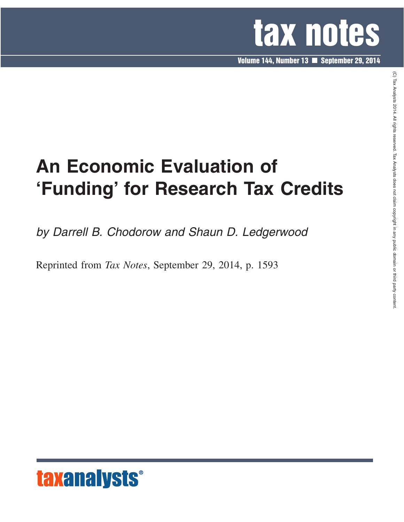

**Volume 144, Number 13 September 29, 2014**

# **An Economic Evaluation of 'Funding' for Research Tax Credits**

*by Darrell B. Chodorow and Shaun D. Ledgerwood*

Reprinted from *Tax Notes*, September 29, 2014, p. 1593



 $\widehat{\Omega}$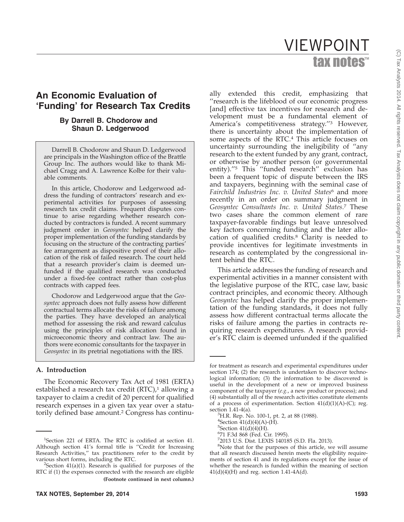# tax notes™ VIEWPOINT

# **An Economic Evaluation of 'Funding' for Research Tax Credits**

#### **By Darrell B. Chodorow and Shaun D. Ledgerwood**

Darrell B. Chodorow and Shaun D. Ledgerwood are principals in the Washington office of the Brattle Group Inc. The authors would like to thank Michael Cragg and A. Lawrence Kolbe for their valuable comments.

In this article, Chodorow and Ledgerwood address the funding of contractors' research and experimental activities for purposes of assessing research tax credit claims. Frequent disputes continue to arise regarding whether research conducted by contractors is funded. A recent summary judgment order in *Geosyntec* helped clarify the proper implementation of the funding standards by focusing on the structure of the contracting parties' fee arrangement as dispositive proof of their allocation of the risk of failed research. The court held that a research provider's claim is deemed unfunded if the qualified research was conducted under a fixed-fee contract rather than cost-plus contracts with capped fees.

Chodorow and Ledgerwood argue that the *Geosyntec* approach does not fully assess how different contractual terms allocate the risks of failure among the parties. They have developed an analytical method for assessing the risk and reward calculus using the principles of risk allocation found in microeconomic theory and contract law. The authors were economic consultants for the taxpayer in *Geosyntec* in its pretrial negotiations with the IRS.

#### **A. Introduction**

The Economic Recovery Tax Act of 1981 (ERTA) established a research tax credit  $(RTC)$ ,<sup>1</sup> allowing a taxpayer to claim a credit of 20 percent for qualified research expenses in a given tax year over a statutorily defined base amount.<sup>2</sup> Congress has continu-

ally extended this credit, emphasizing that ''research is the lifeblood of our economic progress [and] effective tax incentives for research and development must be a fundamental element of America's competitiveness strategy.''3 However, there is uncertainty about the implementation of some aspects of the RTC.<sup>4</sup> This article focuses on uncertainty surrounding the ineligibility of ''any research to the extent funded by any grant, contract, or otherwise by another person (or governmental entity)."<sup>5</sup> This "funded research" exclusion has been a frequent topic of dispute between the IRS and taxpayers, beginning with the seminal case of *Fairchild Industries Inc. v. United States*<sup>6</sup> and more recently in an order on summary judgment in *Geosyntec Consultants Inc. v. United States*. <sup>7</sup> These two cases share the common element of rare taxpayer-favorable findings but leave unresolved key factors concerning funding and the later allocation of qualified credits.8 Clarity is needed to provide incentives for legitimate investments in research as contemplated by the congressional intent behind the RTC.

This article addresses the funding of research and experimental activities in a manner consistent with the legislative purpose of the RTC, case law, basic contract principles, and economic theory. Although *Geosyntec* has helped clarify the proper implementation of the funding standards, it does not fully assess how different contractual terms allocate the risks of failure among the parties in contracts requiring research expenditures. A research provider's RTC claim is deemed unfunded if the qualified

<sup>&</sup>lt;sup>1</sup>Section 221 of ERTA. The RTC is codified at section 41. Although section 41's formal title is ''Credit for Increasing Research Activities,'' tax practitioners refer to the credit by various short forms, including the RTC.

 ${}^{2}$ Section 41(a)(1). Research is qualified for purposes of the RTC if (1) the expenses connected with the research are eligible **(Footnote continued in next column.)**

for treatment as research and experimental expenditures under section 174; (2) the research is undertaken to discover technological information; (3) the information to be discovered is useful in the development of a new or improved business component of the taxpayer (*e.g.*, a new product or process); and (4) substantially all of the research activities constitute elements of a process of experimentation. Section  $41(d)(1)(A)-(C)$ ; reg. section  $1.41-4(a)$ .

<sup>&</sup>lt;sup>3</sup>H.R. Rep. No. 100-1, pt. 2, at 88 (1988).

 ${}^{4}$ Section  $41(d)(4)(A)$ -(H).

 $5$ Section  $41(d)(4)(H)$ .

<sup>6</sup> 71 F.3d 868 (Fed. Cir. 1995).

<sup>7</sup> 2013 U.S. Dist. LEXIS 140185 (S.D. Fla. 2013).

<sup>8</sup> Note that for the purposes of this article, we will assume that all research discussed herein meets the eligibility requirements of section 41 and its regulations except for the issue of whether the research is funded within the meaning of section  $41(d)(4)$ (H) and reg. section 1.41-4A(d).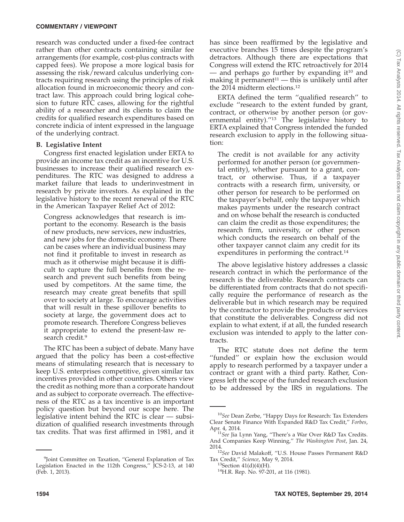research was conducted under a fixed-fee contract rather than other contracts containing similar fee arrangements (for example, cost-plus contracts with capped fees). We propose a more logical basis for assessing the risk/reward calculus underlying contracts requiring research using the principles of risk allocation found in microeconomic theory and contract law. This approach could bring logical cohesion to future RTC cases, allowing for the rightful ability of a researcher and its clients to claim the credits for qualified research expenditures based on concrete indicia of intent expressed in the language of the underlying contract.

#### **B. Legislative Intent**

Congress first enacted legislation under ERTA to provide an income tax credit as an incentive for U.S. businesses to increase their qualified research expenditures. The RTC was designed to address a market failure that leads to underinvestment in research by private investors. As explained in the legislative history to the recent renewal of the RTC in the American Taxpayer Relief Act of 2012:

Congress acknowledges that research is important to the economy. Research is the basis of new products, new services, new industries, and new jobs for the domestic economy. There can be cases where an individual business may not find it profitable to invest in research as much as it otherwise might because it is difficult to capture the full benefits from the research and prevent such benefits from being used by competitors. At the same time, the research may create great benefits that spill over to society at large. To encourage activities that will result in these spillover benefits to society at large, the government does act to promote research. Therefore Congress believes it appropriate to extend the present-law research credit.<sup>9</sup>

The RTC has been a subject of debate. Many have argued that the policy has been a cost-effective means of stimulating research that is necessary to keep U.S. enterprises competitive, given similar tax incentives provided in other countries. Others view the credit as nothing more than a corporate handout and as subject to corporate overreach. The effectiveness of the RTC as a tax incentive is an important policy question but beyond our scope here. The legislative intent behind the RTC is clear — subsidization of qualified research investments through tax credits. That was first affirmed in 1981, and it

has since been reaffirmed by the legislative and executive branches 15 times despite the program's detractors. Although there are expectations that Congress will extend the RTC retroactively for 2014 — and perhaps go further by expanding it<sup>10</sup> and making it permanent $11$  — this is unlikely until after the 2014 midterm elections.12

ERTA defined the term ''qualified research'' to exclude ''research to the extent funded by grant, contract, or otherwise by another person (or governmental entity).<sup>''13</sup> The legislative history to ERTA explained that Congress intended the funded research exclusion to apply in the following situation:

The credit is not available for any activity performed for another person (or governmental entity), whether pursuant to a grant, contract, or otherwise. Thus, if a taxpayer contracts with a research firm, university, or other person for research to be performed on the taxpayer's behalf, only the taxpayer which makes payments under the research contract and on whose behalf the research is conducted can claim the credit as those expenditures; the research firm, university, or other person which conducts the research on behalf of the other taxpayer cannot claim any credit for its expenditures in performing the contract.<sup>14</sup>

The above legislative history addresses a classic research contract in which the performance of the research is the deliverable. Research contracts can be differentiated from contracts that do not specifically require the performance of research as the deliverable but in which research may be required by the contractor to provide the products or services that constitute the deliverables. Congress did not explain to what extent, if at all, the funded research exclusion was intended to apply to the latter contracts.

The RTC statute does not define the term "funded" or explain how the exclusion would apply to research performed by a taxpayer under a contract or grant with a third party. Rather, Congress left the scope of the funded research exclusion to be addressed by the IRS in regulations. The

<sup>9</sup> Joint Committee on Taxation, ''General Explanation of Tax Legislation Enacted in the 112th Congress," JCS-2-13, at 140 (Feb. 1, 2013).

<sup>10</sup>*See* Dean Zerbe, ''Happy Days for Research: Tax Extenders Clear Senate Finance With Expanded R&D Tax Credit,'' *Forbes*, Apr. 4, 2014. <sup>11</sup>*See* Jia Lynn Yang, ''There's a War Over R&D Tax Credits.

And Companies Keep Winning,'' *The Washington Post*, Jan. 24,

<sup>&</sup>lt;sup>12</sup>See David Malakoff, "U.S. House Passes Permanent R&D Tax Credit," Science, May 9, 2014.

<sup>&</sup>lt;sup>13</sup> Section 41(d)(4)(H).<br><sup>14</sup> H.R. Rep. No. 97-201, at 116 (1981).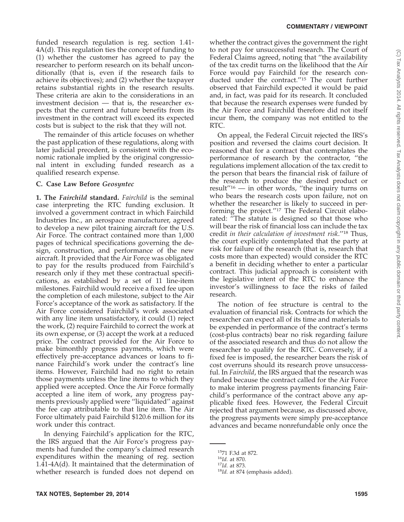#### **COMMENTARY / VIEWPOINT**

funded research regulation is reg. section 1.41- 4A(d). This regulation ties the concept of funding to (1) whether the customer has agreed to pay the researcher to perform research on its behalf unconditionally (that is, even if the research fails to achieve its objectives); and (2) whether the taxpayer retains substantial rights in the research results. These criteria are akin to the considerations in an investment decision — that is, the researcher expects that the current and future benefits from its investment in the contract will exceed its expected costs but is subject to the risk that they will not.

The remainder of this article focuses on whether the past application of these regulations, along with later judicial precedent, is consistent with the economic rationale implied by the original congressional intent in excluding funded research as a qualified research expense.

#### **C. Case Law Before** *Geosyntec*

**1. The** *Fairchild* **standard.** *Fairchild* is the seminal case interpreting the RTC funding exclusion. It involved a government contract in which Fairchild Industries Inc., an aerospace manufacturer, agreed to develop a new pilot training aircraft for the U.S. Air Force. The contract contained more than 1,000 pages of technical specifications governing the design, construction, and performance of the new aircraft. It provided that the Air Force was obligated to pay for the results produced from Fairchild's research only if they met these contractual specifications, as established by a set of 11 line-item milestones. Fairchild would receive a fixed fee upon the completion of each milestone, subject to the Air Force's acceptance of the work as satisfactory. If the Air Force considered Fairchild's work associated with any line item unsatisfactory, it could (1) reject the work, (2) require Fairchild to correct the work at its own expense, or (3) accept the work at a reduced price. The contract provided for the Air Force to make bimonthly progress payments, which were effectively pre-acceptance advances or loans to finance Fairchild's work under the contract's line items. However, Fairchild had no right to retain those payments unless the line items to which they applied were accepted. Once the Air Force formally accepted a line item of work, any progress payments previously applied were ''liquidated'' against the fee cap attributable to that line item. The Air Force ultimately paid Fairchild \$120.6 million for its work under this contract.

In denying Fairchild's application for the RTC, the IRS argued that the Air Force's progress payments had funded the company's claimed research expenditures within the meaning of reg. section 1.41-4A(d). It maintained that the determination of whether research is funded does not depend on

whether the contract gives the government the right to not pay for unsuccessful research. The Court of Federal Claims agreed, noting that ''the availability of the tax credit turns on the likelihood that the Air Force would pay Fairchild for the research conducted under the contract.''15 The court further observed that Fairchild expected it would be paid and, in fact, was paid for its research. It concluded that because the research expenses were funded by the Air Force and Fairchild therefore did not itself incur them, the company was not entitled to the RTC.

On appeal, the Federal Circuit rejected the IRS's position and reversed the claims court decision. It reasoned that for a contract that contemplates the performance of research by the contractor, ''the regulations implement allocation of the tax credit to the person that bears the financial risk of failure of the research to produce the desired product or result $^{\prime\prime}$ <sup>16</sup> — in other words, "the inquiry turns on who bears the research costs upon failure, not on whether the researcher is likely to succeed in performing the project.''17 The Federal Circuit elaborated: ''The statute is designed so that those who will bear the risk of financial loss can include the tax credit *in their calculation of investment risk*.''18 Thus, the court explicitly contemplated that the party at risk for failure of the research (that is, research that costs more than expected) would consider the RTC a benefit in deciding whether to enter a particular contract. This judicial approach is consistent with the legislative intent of the RTC to enhance the investor's willingness to face the risks of failed research.

The notion of fee structure is central to the evaluation of financial risk. Contracts for which the researcher can expect all of its time and materials to be expended in performance of the contract's terms (cost-plus contracts) bear no risk regarding failure of the associated research and thus do not allow the researcher to qualify for the RTC. Conversely, if a fixed fee is imposed, the researcher bears the risk of cost overruns should its research prove unsuccessful. In *Fairchild*, the IRS argued that the research was funded because the contract called for the Air Force to make interim progress payments financing Fairchild's performance of the contract above any applicable fixed fees. However, the Federal Circuit rejected that argument because, as discussed above, the progress payments were simply pre-acceptance advances and became nonrefundable only once the

<sup>&</sup>lt;sup>15</sup>71 F.3d at 872.<br><sup>16</sup>*Id.* at 870.<br><sup>17</sup>*Id.* at 873. <sup>18</sup>*Id.* at 874 (emphasis added).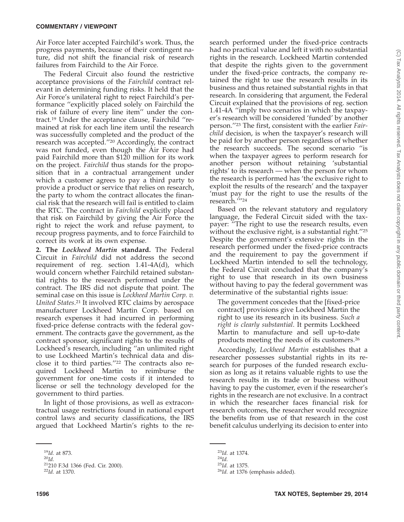Air Force later accepted Fairchild's work. Thus, the progress payments, because of their contingent nature, did not shift the financial risk of research failures from Fairchild to the Air Force.

The Federal Circuit also found the restrictive acceptance provisions of the *Fairchild* contract relevant in determining funding risks. It held that the Air Force's unilateral right to reject Fairchild's performance ''explicitly placed solely on Fairchild the risk of failure of every line item'' under the contract.19 Under the acceptance clause, Fairchild ''remained at risk for each line item until the research was successfully completed and the product of the research was accepted.''20 Accordingly, the contract was not funded, even though the Air Force had paid Fairchild more than \$120 million for its work on the project. *Fairchild* thus stands for the proposition that in a contractual arrangement under which a customer agrees to pay a third party to provide a product or service that relies on research, the party to whom the contract allocates the financial risk that the research will fail is entitled to claim the RTC. The contract in *Fairchild* explicitly placed that risk on Fairchild by giving the Air Force the right to reject the work and refuse payment, to recoup progress payments, and to force Fairchild to correct its work at its own expense.

**2. The** *Lockheed Martin* **standard.** The Federal Circuit in *Fairchild* did not address the second requirement of reg. section 1.41-4A(d), which would concern whether Fairchild retained substantial rights to the research performed under the contract. The IRS did not dispute that point. The seminal case on this issue is *Lockheed Martin Corp. v. United States*. <sup>21</sup> It involved RTC claims by aerospace manufacturer Lockheed Martin Corp. based on research expenses it had incurred in performing fixed-price defense contracts with the federal government. The contracts gave the government, as the contract sponsor, significant rights to the results of Lockheed's research, including ''an unlimited right to use Lockheed Martin's technical data and disclose it to third parties.''22 The contracts also required Lockheed Martin to reimburse the government for one-time costs if it intended to license or sell the technology developed for the government to third parties.

In light of those provisions, as well as extracontractual usage restrictions found in national export control laws and security classifications, the IRS argued that Lockheed Martin's rights to the research performed under the fixed-price contracts had no practical value and left it with no substantial rights in the research. Lockheed Martin contended that despite the rights given to the government under the fixed-price contracts, the company retained the right to use the research results in its business and thus retained substantial rights in that research. In considering that argument, the Federal Circuit explained that the provisions of reg. section 1.41-4A ''imply two scenarios in which the taxpayer's research will be considered 'funded' by another person.''23 The first, consistent with the earlier *Fairchild* decision, is when the taxpayer's research will be paid for by another person regardless of whether the research succeeds. The second scenario ''is when the taxpayer agrees to perform research for another person without retaining 'substantial rights' to its research — when the person for whom the research is performed has 'the exclusive right to exploit the results of the research' and the taxpayer 'must pay for the right to use the results of the research.'''24

Based on the relevant statutory and regulatory language, the Federal Circuit sided with the taxpayer: ''The right to use the research results, even without the exclusive right, is a substantial right."<sup>25</sup> Despite the government's extensive rights in the research performed under the fixed-price contracts and the requirement to pay the government if Lockheed Martin intended to sell the technology, the Federal Circuit concluded that the company's right to use that research in its own business without having to pay the federal government was determinative of the substantial rights issue:

The government concedes that the [fixed-price contract] provisions give Lockheed Martin the right to use its research in its business. *Such a right is clearly substantial*. It permits Lockheed Martin to manufacture and sell up-to-date products meeting the needs of its customers.26

Accordingly, *Lockheed Martin* establishes that a researcher possesses substantial rights in its research for purposes of the funded research exclusion as long as it retains valuable rights to use the research results in its trade or business without having to pay the customer, even if the researcher's rights in the research are not exclusive. In a contract in which the researcher faces financial risk for research outcomes, the researcher would recognize the benefits from use of that research in the cost benefit calculus underlying its decision to enter into

<sup>19</sup>*Id.* at 873. <sup>20</sup>*Id.* 21210 F.3d 1366 (Fed. Cir. 2000). <sup>22</sup>*Id.* at 1370.

<sup>&</sup>lt;sup>23</sup>*Id.* at 1374.<br><sup>24</sup>*Id.* 25*Id.* at 1375.<br><sup>26</sup>*Id.* at 1376 (emphasis added).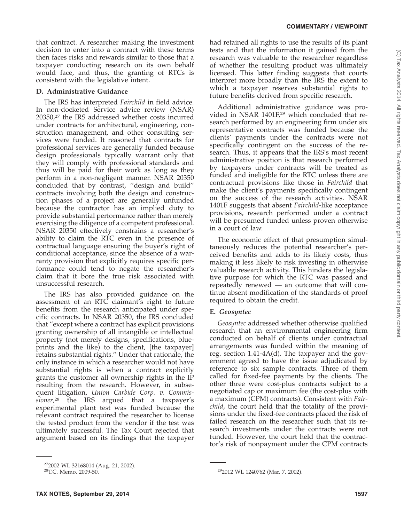that contract. A researcher making the investment decision to enter into a contract with these terms then faces risks and rewards similar to those that a taxpayer conducting research on its own behalf would face, and thus, the granting of RTCs is consistent with the legislative intent.

## **D. Administrative Guidance**

The IRS has interpreted *Fairchild* in field advice. In non-docketed Service advice review (NSAR) 20350,27 the IRS addressed whether costs incurred under contracts for architectural, engineering, construction management, and other consulting services were funded. It reasoned that contracts for professional services are generally funded because design professionals typically warrant only that they will comply with professional standards and thus will be paid for their work as long as they perform in a non-negligent manner. NSAR 20350 concluded that by contrast, ''design and build'' contracts involving both the design and construction phases of a project are generally unfunded because the contractor has an implied duty to provide substantial performance rather than merely exercising the diligence of a competent professional. NSAR 20350 effectively constrains a researcher's ability to claim the RTC even in the presence of contractual language ensuring the buyer's right of conditional acceptance, since the absence of a warranty provision that explicitly requires specific performance could tend to negate the researcher's claim that it bore the true risk associated with unsuccessful research.

The IRS has also provided guidance on the assessment of an RTC claimant's right to future benefits from the research anticipated under specific contracts. In NSAR 20350, the IRS concluded that ''except where a contract has explicit provisions granting ownership of all intangible or intellectual property (not merely designs, specifications, blueprints and the like) to the client, [the taxpayer] retains substantial rights.'' Under that rationale, the only instance in which a researcher would not have substantial rights is when a contract explicitly grants the customer all ownership rights in the IP resulting from the research. However, in subsequent litigation, *Union Carbide Corp. v. Commissioner*, <sup>28</sup> the IRS argued that a taxpayer's experimental plant test was funded because the relevant contract required the researcher to license the tested product from the vendor if the test was ultimately successful. The Tax Court rejected that argument based on its findings that the taxpayer had retained all rights to use the results of its plant tests and that the information it gained from the research was valuable to the researcher regardless of whether the resulting product was ultimately licensed*.* This latter finding suggests that courts interpret more broadly than the IRS the extent to which a taxpayer reserves substantial rights to future benefits derived from specific research.

Additional administrative guidance was provided in NSAR 1401F,<sup>29</sup> which concluded that research performed by an engineering firm under six representative contracts was funded because the clients' payments under the contracts were not specifically contingent on the success of the research. Thus, it appears that the IRS's most recent administrative position is that research performed by taxpayers under contracts will be treated as funded and ineligible for the RTC unless there are contractual provisions like those in *Fairchild* that make the client's payments specifically contingent on the success of the research activities. NSAR 1401F suggests that absent *Fairchild*-like acceptance provisions, research performed under a contract will be presumed funded unless proven otherwise in a court of law.

The economic effect of that presumption simultaneously reduces the potential researcher's perceived benefits and adds to its likely costs, thus making it less likely to risk investing in otherwise valuable research activity. This hinders the legislative purpose for which the RTC was passed and repeatedly renewed — an outcome that will continue absent modification of the standards of proof required to obtain the credit.

# **E.** *Geosyntec*

*Geosyntec* addressed whether otherwise qualified research that an environmental engineering firm conducted on behalf of clients under contractual arrangements was funded within the meaning of reg. section 1.41-4A(d). The taxpayer and the government agreed to have the issue adjudicated by reference to six sample contracts. Three of them called for fixed-fee payments by the clients. The other three were cost-plus contracts subject to a negotiated cap or maximum fee (the cost-plus with a maximum (CPM) contracts). Consistent with *Fairchild*, the court held that the totality of the provisions under the fixed-fee contracts placed the risk of failed research on the researcher such that its research investments under the contracts were not funded. However, the court held that the contractor's risk of nonpayment under the CPM contracts

 $\overline{a^{27}2002}$  WL 32168014 (Aug. 21, 2002).<br><sup>28</sup>T.C. Memo. 2009-50. 292012 WL 1240762 (Mar. 7, 2002).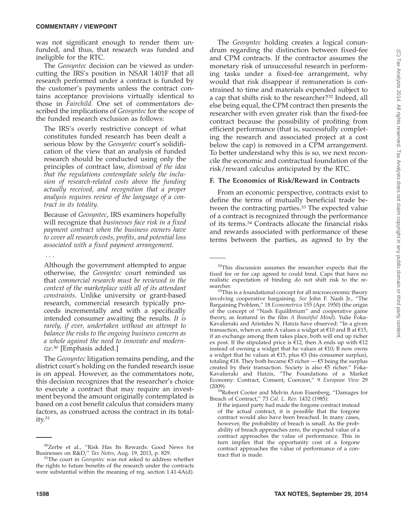was not significant enough to render them unfunded, and thus, that research was funded and ineligible for the RTC.

The *Geosyntec* decision can be viewed as undercutting the IRS's position in NSAR 1401F that all research performed under a contract is funded by the customer's payments unless the contract contains acceptance provisions virtually identical to those in *Fairchild*. One set of commentators described the implications of *Geosyntec* for the scope of the funded research exclusion as follows:

The IRS's overly restrictive concept of what constitutes funded research has been dealt a serious blow by the *Geosyntec* court's solidification of the view that an analysis of funded research should be conducted using only the principles of contract law, *dismissal of the idea that the regulations contemplate solely the inclusion of research-related costs above the funding actually received, and recognition that a proper analysis requires review of the language of a contract in its totality*.

Because of *Geosyntec*, IRS examiners hopefully will recognize that *businesses face risk in a fixed payment contract when the business owners have to cover all research costs, profits, and potential loss associated with a fixed payment arrangement*.

#### ...

Although the government attempted to argue otherwise, the *Geosyntec* court reminded us that *commercial research must be reviewed in the context of the marketplace with all of its attendant constraints*. Unlike university or grant-based research, commercial research typically proceeds incrementally and with a specifically intended consumer awaiting the results. *It is rarely, if ever, undertaken without an attempt to balance the risks to the ongoing business concern as a whole against the need to innovate and modernize*. <sup>30</sup> [Emphasis added.]

The *Geosyntec* litigation remains pending, and the district court's holding on the funded research issue is on appeal. However, as the commentators note, this decision recognizes that the researcher's choice to execute a contract that may require an investment beyond the amount originally contemplated is based on a cost benefit calculus that considers many factors, as construed across the contract in its totality.31

The *Geosyntec* holding creates a logical conundrum regarding the distinction between fixed-fee and CPM contracts. If the contractor assumes the monetary risk of unsuccessful research in performing tasks under a fixed-fee arrangement, why would that risk disappear if remuneration is constrained to time and materials expended subject to a cap that shifts risk to the researcher?32 Indeed, all else being equal, the CPM contract then presents the researcher with even greater risk than the fixed-fee contract because the possibility of profiting from efficient performance (that is, successfully completing the research and associated project at a cost below the cap) is removed in a CPM arrangement. To better understand why this is so, we next reconcile the economic and contractual foundation of the risk/reward calculus anticipated by the RTC.

## **F. The Economics of Risk/Reward in Contracts**

From an economic perspective, contracts exist to define the terms of mutually beneficial trade between the contracting parties.<sup>33</sup> The expected value of a contract is recognized through the performance of its terms.34 Contracts allocate the financial risks and rewards associated with performance of these terms between the parties, as agreed to by the

<sup>&</sup>lt;sup>30</sup>Zerbe et al., "Risk Has Its Rewards: Good News for Businesses on R&D," Tax Notes, Aug. 19, 2013, p. 829.

<sup>&</sup>lt;sup>31</sup>The court in *Geosyntec* was not asked to address whether the rights to future benefits of the research under the contracts were substantial within the meaning of reg. section 1.41-4A(d).

<sup>&</sup>lt;sup>32</sup>This discussion assumes the researcher expects that the fixed fee or fee cap agreed to could bind. Caps that have no realistic expectation of binding do not shift risk to the re-

searcher.<br><sup>33</sup>This is a foundational concept for all microeconomic theory involving cooperative bargaining. *See* John F. Nash Jr., ''The Bargaining Problem,'' 18 *Econometrica* 155 (Apr. 1950) (the origin of the concept of ''Nash Equilibrium'' and cooperative game theory, as featured in the film *A Beautiful Mind*). Yulie Foka-Kavalieraki and Aristides N. Hatzis have observed: ''In a given transaction, when ex ante A values a widget at  $\epsilon$ 10 and B at  $\epsilon$ 15, if an exchange among them takes place, both will end up richer ex post. If the stipulated price is  $\overline{\epsilon}$ 12, then A ends up with  $\epsilon$ 12 instead of owning a widget that he values at  $£10; B$  now owns a widget that he values at €15, plus €3 (his consumer surplus), totaling €18. They both became  $\overline{ε}5$  richer  $-$  €5 being the surplus created by their transaction. Society is also €5 richer.'' Foka-Kavalieraki and Hatzis, ''The Foundations of a Market Economy: Contract, Consent, Coercion,'' 9 *European View* 29

<sup>(2009).&</sup>lt;br><sup>34</sup>Robert Cooter and Melvin Aron Eisenberg, "Damages for Breach of Contract,'' 73 *Cal. L. Rev.* 1432 (1985):

If the injured party had made the forgone contract instead of the actual contract, it is possible that the forgone contract would also have been breached. In many cases, however, the probability of breach is small. As the probability of breach approaches zero, the expected value of a contract approaches the value of performance. This in turn implies that the opportunity cost of a forgone contract approaches the value of performance of a contract that is made.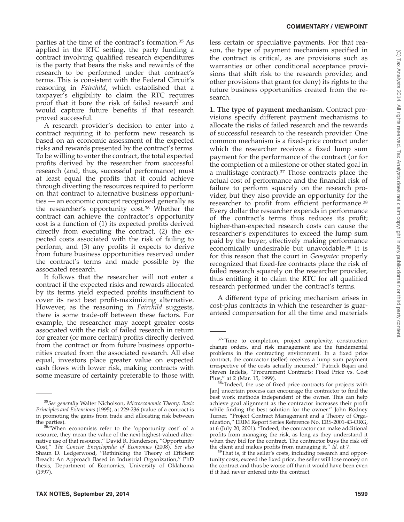parties at the time of the contract's formation.35 As applied in the RTC setting, the party funding a contract involving qualified research expenditures is the party that bears the risks and rewards of the research to be performed under that contract's terms. This is consistent with the Federal Circuit's reasoning in *Fairchild*, which established that a taxpayer's eligibility to claim the RTC requires proof that it bore the risk of failed research and would capture future benefits if that research proved successful.

A research provider's decision to enter into a contract requiring it to perform new research is based on an economic assessment of the expected risks and rewards presented by the contract's terms. To be willing to enter the contract, the total expected profits derived by the researcher from successful research (and, thus, successful performance) must at least equal the profits that it could achieve through diverting the resources required to perform on that contract to alternative business opportunities — an economic concept recognized generally as the researcher's opportunity cost.36 Whether the contract can achieve the contractor's opportunity cost is a function of (1) its expected profits derived directly from executing the contract, (2) the expected costs associated with the risk of failing to perform, and (3) any profits it expects to derive from future business opportunities reserved under the contract's terms and made possible by the associated research.

It follows that the researcher will not enter a contract if the expected risks and rewards allocated by its terms yield expected profits insufficient to cover its next best profit-maximizing alternative. However, as the reasoning in *Fairchild* suggests, there is some trade-off between these factors. For example, the researcher may accept greater costs associated with the risk of failed research in return for greater (or more certain) profits directly derived from the contract or from future business opportunities created from the associated research. All else equal, investors place greater value on expected cash flows with lower risk, making contracts with some measure of certainty preferable to those with

less certain or speculative payments. For that reason, the type of payment mechanism specified in the contract is critical, as are provisions such as warranties or other conditional acceptance provisions that shift risk to the research provider, and other provisions that grant (or deny) its rights to the future business opportunities created from the research.

**1. The type of payment mechanism.** Contract provisions specify different payment mechanisms to allocate the risks of failed research and the rewards of successful research to the research provider. One common mechanism is a fixed-price contract under which the researcher receives a fixed lump sum payment for the performance of the contract (or for the completion of a milestone or other stated goal in a multistage contract).37 Those contracts place the actual cost of performance and the financial risk of failure to perform squarely on the research provider, but they also provide an opportunity for the researcher to profit from efficient performance.38 Every dollar the researcher expends in performance of the contract's terms thus reduces its profit; higher-than-expected research costs can cause the researcher's expenditures to exceed the lump sum paid by the buyer, effectively making performance economically undesirable but unavoidable.39 It is for this reason that the court in *Geosyntec* properly recognized that fixed-fee contracts place the risk of failed research squarely on the researcher provider, thus entitling it to claim the RTC for all qualified research performed under the contract's terms.

A different type of pricing mechanism arises in cost-plus contracts in which the researcher is guaranteed compensation for all the time and materials

<sup>39</sup>That is, if the seller's costs, including research and opportunity costs, exceed the fixed price, the seller will lose money on the contract and thus be worse off than it would have been even if it had never entered into the contract.

<sup>35</sup>*See generally* Walter Nicholson, *Microeconomic Theory: Basic Principles and Extensions* (1995), at 229-236 (value of a contract is in promoting the gains from trade and allocating risk between

the parties).  $36''$ When economists refer to the 'opportunity cost' of a resource, they mean the value of the next-highest-valued alternative use of that resource.'' David R. Henderson, ''Opportunity Cost,'' *The Concise Encyclopedia of Economics* (2008). *See also* Shaun D. Ledgerwood, ''Rethinking the Theory of Efficient Breach: An Approach Based in Industrial Organization,'' PhD thesis, Department of Economics, University of Oklahoma (1997).

<sup>&</sup>lt;sup>37</sup>"Time to completion, project complexity, construction change orders, and risk management are the fundamental problems in the contracting environment. In a fixed price contract, the contractor (seller) receives a lump sum payment irrespective of the costs actually incurred.'' Patrick Bajari and Steven Tadelis, "Procurement Contracts: Fixed Price vs. Cost Plus," at 2 (Mar. 15, 1999).

<sup>&</sup>lt;sup>38</sup>"Indeed, the use of fixed price contracts for projects with [an] uncertain process can encourage the contractor to find the best work methods independent of the owner. This can help achieve goal alignment as the contractor increases their profit while finding the best solution for the owner.'' John Rodney Turner, ''Project Contract Management and a Theory of Organization,'' ERIM Report Series Reference No. ERS-2001-43-ORG, at 6 (July 20, 2001). ''Indeed, the contractor can make additional profits from managing the risk, as long as they understand it when they bid for the contract. The contractor buys the risk off the client and makes profits from managing it."  $Id$ . at 7.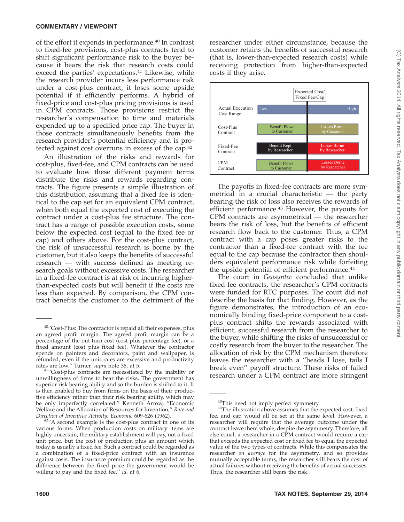of the effort it expends in performance.40 In contrast to fixed-fee provisions, cost-plus contracts tend to shift significant performance risk to the buyer because it bears the risk that research costs could exceed the parties' expectations.<sup>41</sup> Likewise, while the research provider incurs less performance risk under a cost-plus contract, it loses some upside potential if it efficiently performs. A hybrid of fixed-price and cost-plus pricing provisions is used in CPM contracts. Those provisions restrict the researcher's compensation to time and materials expended up to a specified price cap. The buyer in those contracts simultaneously benefits from the research provider's potential efficiency and is protected against cost overruns in excess of the cap.42

An illustration of the risks and rewards for cost-plus, fixed-fee, and CPM contracts can be used to evaluate how these different payment terms distribute the risks and rewards regarding contracts. The figure presents a simple illustration of this distribution assuming that a fixed fee is identical to the cap set for an equivalent CPM contract, when both equal the expected cost of executing the contract under a cost-plus fee structure. The contract has a range of possible execution costs, some below the expected cost (equal to the fixed fee or cap) and others above. For the cost-plus contract, the risk of unsuccessful research is borne by the customer, but it also keeps the benefits of successful research — with success defined as meeting research goals without excessive costs. The researcher in a fixed-fee contract is at risk of incurring higherthan-expected costs but will benefit if the costs are less than expected. By comparison, the CPM contract benefits the customer to the detriment of the

researcher under either circumstance, because the customer retains the benefits of successful research (that is, lower-than-expected research costs) while receiving protection from higher-than-expected costs if they arise.



The payoffs in fixed-fee contracts are more symmetrical in a crucial characteristic — the party bearing the risk of loss also receives the rewards of efficient performance.<sup>43</sup> However, the payouts for CPM contracts are asymmetrical — the researcher bears the risk of loss, but the benefits of efficient research flow back to the customer. Thus, a CPM contract with a cap poses greater risks to the contractor than a fixed-fee contract with the fee equal to the cap because the contractor then shoulders equivalent performance risk while forfeiting the upside potential of efficient performance.<sup>44</sup>

The court in *Geosyntec* concluded that unlike fixed-fee contracts, the researcher's CPM contracts were funded for RTC purposes. The court did not describe the basis for that finding. However, as the figure demonstrates, the introduction of an economically binding fixed-price component to a costplus contract shifts the rewards associated with efficient, successful research from the researcher to the buyer, while shifting the risks of unsuccessful or costly research from the buyer to the researcher. The allocation of risk by the CPM mechanism therefore leaves the researcher with a ''heads I lose, tails I break even'' payoff structure. These risks of failed research under a CPM contract are more stringent

<sup>40&#</sup>x27;'Cost-Plus: The contractor is repaid all their expenses, plus an agreed profit margin. The agreed profit margin can be a percentage of the out-turn cost (cost plus percentage fee), or a fixed amount (cost plus fixed fee). Whatever the contractor spends on painters and decorators, paint and wallpaper, is refunded, even if the unit rates are excessive and productivity rates are low." Turner, *supra* note 38, at 5.

<sup>&</sup>lt;sup>41</sup>"Cost-plus contracts are necessitated by the inability or unwillingness of firms to bear the risks. The government has superior risk bearing ability and so the burden is shifted to it. It is then enabled to buy from firms on the basis of their productive efficiency rather than their risk bearing ability, which may be only imperfectly correlated.'' Kenneth Arrow, ''Economic Welfare and the Allocation of Resources for Invention," *Rate and Direction of Inventive Activity: Economic* 609-626 (1962).

<sup>&</sup>lt;sup>42"</sup>A second example is the cost-plus contract in one of its various forms. When production costs on military items are highly uncertain, the military establishment will pay, not a fixed unit price, but the cost of production plus an amount which today is usually a fixed fee. Such a contract could be regarded as a combination of a fixed-price contract with an insurance against costs. The insurance premium could be regarded as the difference between the fixed price the government would be willing to pay and the fixed fee." Id. at 6.

 $43$ This need not imply perfect symmetry.<br> $44$ The illustration above assumes that the expected cost, fixed fee, and cap would all be set at the same level. However, a researcher will require that the average outcome under the contract leave them whole, despite the asymmetry. Therefore, all else equal, a researcher in a CPM contract would require a cap that exceeds the expected cost or fixed fee to equal the expected value of the two types of contracts. While this compensates the researcher *on average* for the asymmetry, and so provides mutually acceptable terms, the researcher still bears the cost of actual failures without receiving the benefits of actual successes. Thus, the researcher still bears the risk.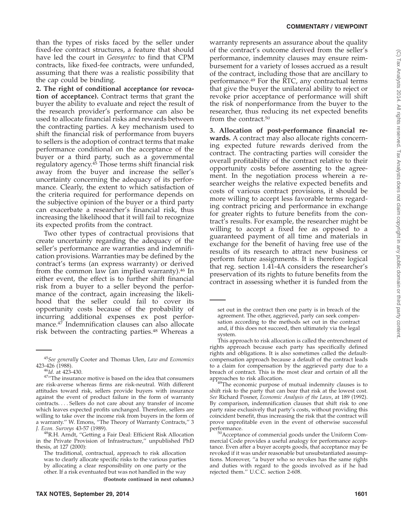than the types of risks faced by the seller under fixed-fee contract structures, a feature that should have led the court in *Geosyntec* to find that CPM contracts, like fixed-fee contracts, were unfunded, assuming that there was a realistic possibility that the cap could be binding.

**2. The right of conditional acceptance (or revocation of acceptance).** Contract terms that grant the buyer the ability to evaluate and reject the result of the research provider's performance can also be used to allocate financial risks and rewards between the contracting parties. A key mechanism used to shift the financial risk of performance from buyers to sellers is the adoption of contract terms that make performance conditional on the acceptance of the buyer or a third party, such as a governmental regulatory agency.45 Those terms shift financial risk away from the buyer and increase the seller's uncertainty concerning the adequacy of its performance. Clearly, the extent to which satisfaction of the criteria required for performance depends on the subjective opinion of the buyer or a third party can exacerbate a researcher's financial risk, thus increasing the likelihood that it will fail to recognize its expected profits from the contract.

Two other types of contractual provisions that create uncertainty regarding the adequacy of the seller's performance are warranties and indemnification provisions. Warranties may be defined by the contract's terms (an express warranty) or derived from the common law (an implied warranty).<sup>46</sup> In either event, the effect is to further shift financial risk from a buyer to a seller beyond the performance of the contract, again increasing the likelihood that the seller could fail to cover its opportunity costs because of the probability of incurring additional expenses ex post performance.47 Indemnification clauses can also allocate risk between the contracting parties.<sup>48</sup> Whereas a

**(Footnote continued in next column.)**

warranty represents an assurance about the quality of the contract's outcome derived from the seller's performance, indemnity clauses may ensure reimbursement for a variety of losses accrued as a result of the contract, including those that are ancillary to performance.49 For the RTC, any contractual terms that give the buyer the unilateral ability to reject or revoke prior acceptance of performance will shift the risk of nonperformance from the buyer to the researcher, thus reducing its net expected benefits from the contract.50

**3. Allocation of post-performance financial rewards.** A contract may also allocate rights concerning expected future rewards derived from the contract. The contracting parties will consider the overall profitability of the contract relative to their opportunity costs before assenting to the agreement. In the negotiation process wherein a researcher weighs the relative expected benefits and costs of various contract provisions, it should be more willing to accept less favorable terms regarding contract pricing and performance in exchange for greater rights to future benefits from the contract's results. For example, the researcher might be willing to accept a fixed fee as opposed to a guaranteed payment of all time and materials in exchange for the benefit of having free use of the results of its research to attract new business or perform future assignments. It is therefore logical that reg. section 1.41-4A considers the researcher's preservation of its rights to future benefits from the contract in assessing whether it is funded from the

<sup>45</sup>*See generally* Cooter and Thomas Ulen, *Law and Economics*

<sup>&</sup>lt;sup>46</sup>*Id*. at 423-430.<br><sup>47</sup>''The insurance motive is based on the idea that consumers are risk-averse whereas firms are risk-neutral. With different attitudes toward risk, sellers provide buyers with insurance against the event of product failure in the form of warranty contracts.... Sellers do not care about any transfer of income which leaves expected profits unchanged. Therefore, sellers are willing to take over the income risk from buyers in the form of a warranty." W. Emons, "The Theory of Warranty Contracts," 3<br>J. Econ. Surveys 43-57 (1989).

<sup>&</sup>lt;sup>48</sup>R.H. Arndt, "Getting a Fair Deal: Efficient Risk Allocation in the Private Provision of Infrastructure,'' unpublished PhD thesis, at 127 (2000):

The traditional, contractual, approach to risk allocation was to clearly allocate specific risks to the various parties by allocating a clear responsibility on one party or the other. If a risk eventuated but was not handled in the way

set out in the contract then one party is in breach of the agreement. The other, aggrieved, party can seek compensation according to the methods set out in the contract and, if this does not succeed, then ultimately via the legal system.

This approach to risk allocation is called the entrenchment of rights approach because each party has specifically defined rights and obligations. It is also sometimes called the defaultcompensation approach because a default of the contract leads to a claim for compensation by the aggrieved party due to a breach of contract. This is the most clear and certain of all the

<sup>&</sup>lt;sup>49</sup>The economic purpose of mutual indemnity clauses is to shift risk to the party that can bear that risk at the lowest cost. *See* Richard Posner, *Economic Analysis of the Laws*, at 189 (1992). By comparison, indemnification clauses that shift risk to one party raise exclusively that party's costs, without providing this coincident benefit, thus increasing the risk that the contract will prove unprofitable even in the event of otherwise successful

 $50$ Acceptance of commercial goods under the Uniform Commercial Code provides a useful analogy for performance acceptance. Even after a buyer accepts goods, that acceptance may be revoked if it was under reasonable but unsubstantiated assumptions. Moreover, ''a buyer who so revokes has the same rights and duties with regard to the goods involved as if he had rejected them.'' U.C.C. section 2-608.